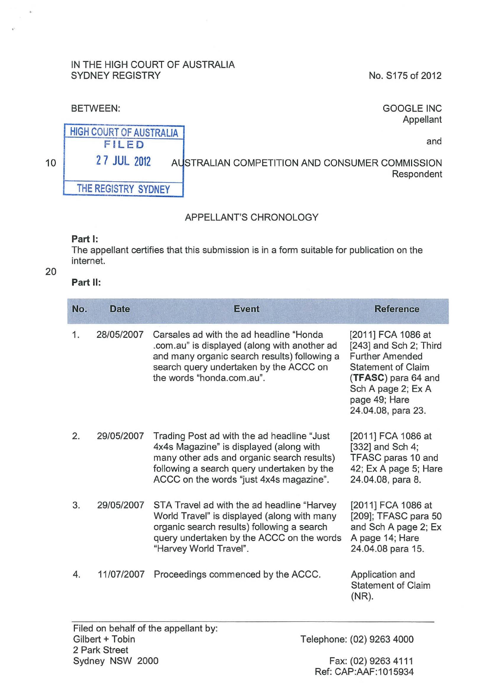#### IN THE HIGH COURT OF AUSTRALIA SYDNEY REGISTRY

No. S175 of 2012

### BETWEEN:

GOOGLE INC Appellant

and

HIGH COURT OF AUSTRALIA FIL ED THE REGISTRY SYDNEY

27 JUL 2012 AUSTRALIAN COMPETITION AND CONSUMER COMMISSION Respondent

# APPELLANT'S CHRONOLOGY

#### **Part 1:**

The appellant certifies that this submission is in a form suitable for publication on the internet.

20

10

# **Part** II:

| No. | <b>Date</b> | <b>Event</b>                                                                                                                                                                                                                  | <b>Reference</b>                                                                                                                                                                        |
|-----|-------------|-------------------------------------------------------------------------------------------------------------------------------------------------------------------------------------------------------------------------------|-----------------------------------------------------------------------------------------------------------------------------------------------------------------------------------------|
| 1.  | 28/05/2007  | Carsales ad with the ad headline "Honda"<br>.com.au" is displayed (along with another ad<br>and many organic search results) following a<br>search query undertaken by the ACCC on<br>the words "honda.com.au".               | [2011] FCA 1086 at<br>[243] and Sch 2; Third<br><b>Further Amended</b><br><b>Statement of Claim</b><br>(TFASC) para 64 and<br>Sch A page 2; Ex A<br>page 49; Hare<br>24.04.08, para 23. |
| 2.  | 29/05/2007  | Trading Post ad with the ad headline "Just"<br>4x4s Magazine" is displayed (along with<br>many other ads and organic search results)<br>following a search query undertaken by the<br>ACCC on the words "just 4x4s magazine". | [2011] FCA 1086 at<br>[332] and Sch 4;<br>TFASC paras 10 and<br>42; Ex A page 5; Hare<br>24.04.08, para 8.                                                                              |
| 3.  | 29/05/2007  | STA Travel ad with the ad headline "Harvey"<br>World Travel" is displayed (along with many<br>organic search results) following a search<br>query undertaken by the ACCC on the words<br>"Harvey World Travel".               | [2011] FCA 1086 at<br>[209]; TFASC para 50<br>and Sch A page 2; Ex<br>A page 14; Hare<br>24.04.08 para 15.                                                                              |
| 4.  | 11/07/2007  | Proceedings commenced by the ACCC.                                                                                                                                                                                            | Application and<br><b>Statement of Claim</b><br>(NR).                                                                                                                                   |

Ref: CAP:AAF:1015934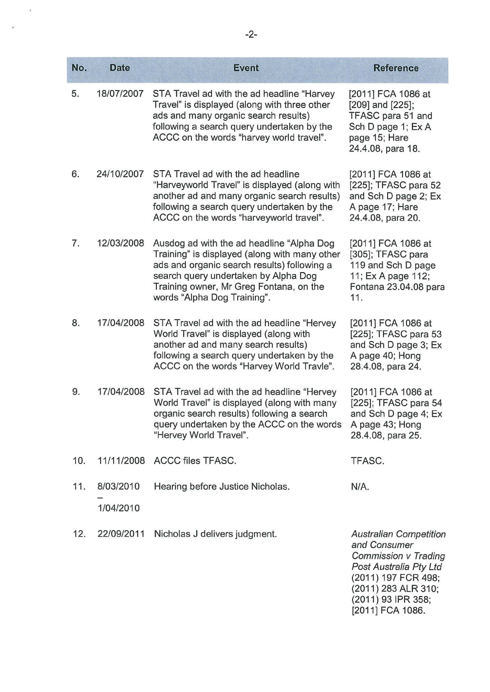| No. | <b>Date</b> | <b>Event</b>                                                                                                                                                                                                                                                | <b>Reference</b>                                                                                                        |
|-----|-------------|-------------------------------------------------------------------------------------------------------------------------------------------------------------------------------------------------------------------------------------------------------------|-------------------------------------------------------------------------------------------------------------------------|
| 5.  | 18/07/2007  | STA Travel ad with the ad headline "Harvey<br>Travel" is displayed (along with three other<br>ads and many organic search results)<br>following a search query undertaken by the<br>ACCC on the words "harvey world travel".                                | [2011] FCA 1086 at<br>[209] and [225];<br>TFASC para 51 and<br>Sch D page 1; Ex A<br>page 15; Hare<br>24.4.08, para 18. |
| 6.  | 24/10/2007  | STA Travel ad with the ad headline<br>"Harveyworld Travel" is displayed (along with<br>another ad and many organic search results)<br>following a search query undertaken by the<br>ACCC on the words "harveyworld travel".                                 | [2011] FCA 1086 at<br>[225]; TFASC para 52<br>and Sch D page 2; Ex<br>A page 17; Hare<br>24.4.08, para 20.              |
| 7.  | 12/03/2008  | Ausdog ad with the ad headline "Alpha Dog<br>Training" is displayed (along with many other<br>ads and organic search results) following a<br>search query undertaken by Alpha Dog<br>Training owner, Mr Greg Fontana, on the<br>words "Alpha Dog Training". | [2011] FCA 1086 at<br>[305]; TFASC para<br>119 and Sch D page<br>11; Ex A page 112;<br>Fontana 23.04.08 para<br>11.     |
| 8.  | 17/04/2008  | STA Travel ad with the ad headline "Hervey<br>World Travel" is displayed (along with<br>another ad and many search results)<br>following a search query undertaken by the<br>ACCC on the words "Harvey World Travle".                                       | [2011] FCA 1086 at<br>[225]; TFASC para 53<br>and Sch D page 3; Ex<br>A page 40; Hong<br>28.4.08, para 24.              |
| 9.  | 17/04/2008  | STA Travel ad with the ad headline "Hervey"<br>World Travel" is displayed (along with many<br>organic search results) following a search<br>query undertaken by the ACCC on the words<br>"Hervey World Travel".                                             | [2011] FCA 1086 at<br>[225]; TFASC para 54<br>and Sch D page 4; Ex<br>A page 43; Hong<br>28.4.08, para 25.              |
| 10. | 11/11/2008  | <b>ACCC files TFASC.</b>                                                                                                                                                                                                                                    | TFASC.                                                                                                                  |
| 11. | 8/03/2010   | Hearing before Justice Nicholas.                                                                                                                                                                                                                            | N/A.                                                                                                                    |
|     | 1/04/2010   |                                                                                                                                                                                                                                                             |                                                                                                                         |
| 12. | 22/09/2011  | Nicholas J delivers judgment.                                                                                                                                                                                                                               | <b>Australian Competition</b><br>and Consumer<br>Commission v Trading                                                   |

Post Australia Pty Ltd (2011) 197 FCR 498; (2011) 283 ALR 310; (2011) 93 IPR 358; (2011] FCA 1086.

 $\hat{\theta}$ 

 $\hat{\theta}^{\pm}$